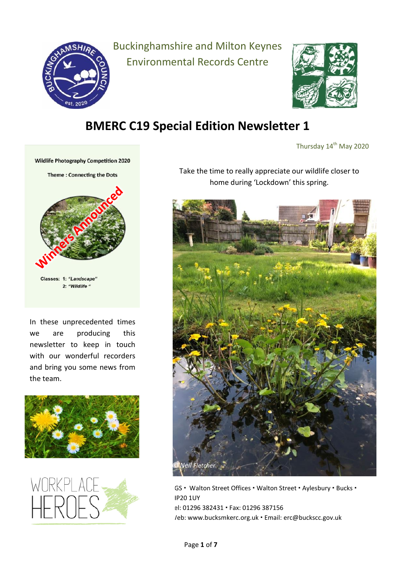

Buckinghamshire and Milton Keynes Environmental Records Centre



# **BMERC C19 Special Edition Newsletter 1**

Thursday 14<sup>th</sup> May 2020

**Wildlife Photography Competition 2020** 

**Theme: Connecting the Dots** 



In these unprecedented times we are producing this newsletter to keep in touch with our wonderful recorders and bring you some news from the team.





Take the time to really appreciate our wildlife closer to home during 'Lockdown' this spring.



GS · Walton Street Offices · Walton Street · Aylesbury · Bucks · **IP20 1UY** el: 01296 382431 Fax: 01296 387156 /eb: www.bucksmkerc.org.uk · Email: erc@buckscc.gov.uk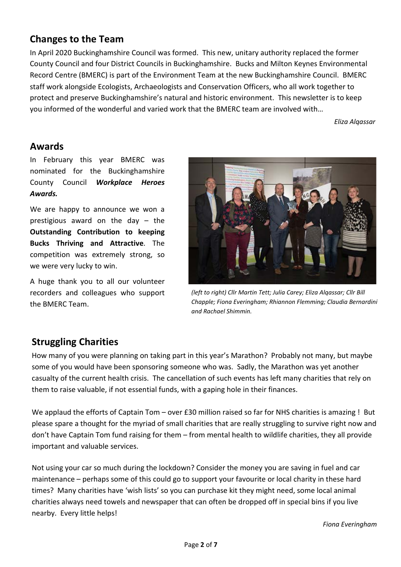# **Changes to the Team**

In April 2020 Buckinghamshire Council was formed. This new, unitary authority replaced the former County Council and four District Councils in Buckinghamshire. Bucks and Milton Keynes Environmental Record Centre (BMERC) is part of the Environment Team at the new Buckinghamshire Council. BMERC staff work alongside Ecologists, Archaeologists and Conservation Officers, who all work together to protect and preserve Buckinghamshire's natural and historic environment. This newsletter is to keep you informed of the wonderful and varied work that the BMERC team are involved with…

*Eliza Alqassar*

# **Awards**

In February this year BMERC was nominated for the Buckinghamshire County Council *Workplace Heroes Awards.* 

We are happy to announce we won a prestigious award on the day – the **Outstanding Contribution to keeping Bucks Thriving and Attractive**. The competition was extremely strong, so we were very lucky to win.

A huge thank you to all our volunteer recorders and colleagues who support the BMERC Team.



*(left to right) Cllr Martin Tett; Julia Carey; Eliza Alqassar; Cllr Bill Chapple; Fiona Everingham; Rhiannon Flemming; Claudia Bernardini and Rachael Shimmin.*

# **Struggling Charities**

How many of you were planning on taking part in this year's Marathon? Probably not many, but maybe some of you would have been sponsoring someone who was. Sadly, the Marathon was yet another casualty of the current health crisis. The cancellation of such events has left many charities that rely on them to raise valuable, if not essential funds, with a gaping hole in their finances.

We applaud the efforts of Captain Tom – over £30 million raised so far for NHS charities is amazing ! But please spare a thought for the myriad of small charities that are really struggling to survive right now and don't have Captain Tom fund raising for them – from mental health to wildlife charities, they all provide important and valuable services.

Not using your car so much during the lockdown? Consider the money you are saving in fuel and car maintenance – perhaps some of this could go to support your favourite or local charity in these hard times? Many charities have 'wish lists' so you can purchase kit they might need, some local animal charities always need towels and newspaper that can often be dropped off in special bins if you live nearby. Every little helps!

*Fiona Everingham*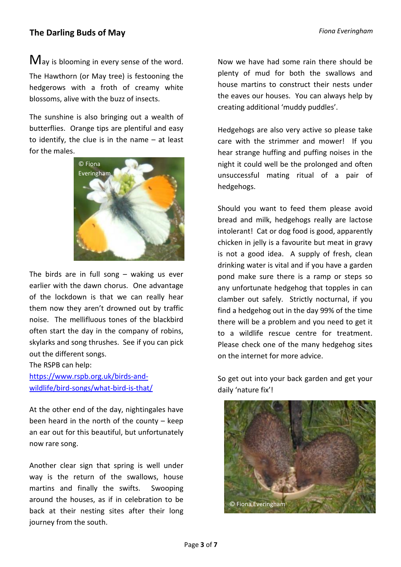# **The Darling Buds of May**

**N** ay is blooming in every sense of the word. The Hawthorn (or May tree) is festooning the hedgerows with a froth of creamy white blossoms, alive with the buzz of insects.

The sunshine is also bringing out a wealth of butterflies. Orange tips are plentiful and easy to identify, the clue is in the name – at least for the males.



The birds are in full song  $-$  waking us ever earlier with the dawn chorus. One advantage of the lockdown is that we can really hear them now they aren't drowned out by traffic noise. The mellifluous tones of the blackbird often start the day in the company of robins, skylarks and song thrushes. See if you can pick out the different songs.

The RSPB can help:

[https://www.rspb.org.uk/birds-and](https://www.rspb.org.uk/birds-and-wildlife/bird-songs/what-bird-is-that/)[wildlife/bird-songs/what-bird-is-that/](https://www.rspb.org.uk/birds-and-wildlife/bird-songs/what-bird-is-that/)

At the other end of the day, nightingales have been heard in the north of the county – keep an ear out for this beautiful, but unfortunately now rare song.

Another clear sign that spring is well under way is the return of the swallows, house martins and finally the swifts. Swooping around the houses, as if in celebration to be back at their nesting sites after their long journey from the south.

Now we have had some rain there should be plenty of mud for both the swallows and house martins to construct their nests under the eaves our houses. You can always help by creating additional 'muddy puddles'.

Hedgehogs are also very active so please take care with the strimmer and mower! If you hear strange huffing and puffing noises in the night it could well be the prolonged and often unsuccessful mating ritual of a pair of hedgehogs.

Should you want to feed them please avoid bread and milk, hedgehogs really are lactose intolerant! Cat or dog food is good, apparently chicken in jelly is a favourite but meat in gravy is not a good idea. A supply of fresh, clean drinking water is vital and if you have a garden pond make sure there is a ramp or steps so any unfortunate hedgehog that topples in can clamber out safely. Strictly nocturnal, if you find a hedgehog out in the day 99% of the time there will be a problem and you need to get it to a wildlife rescue centre for treatment. Please check one of the many hedgehog sites on the internet for more advice.

So get out into your back garden and get your daily 'nature fix'!

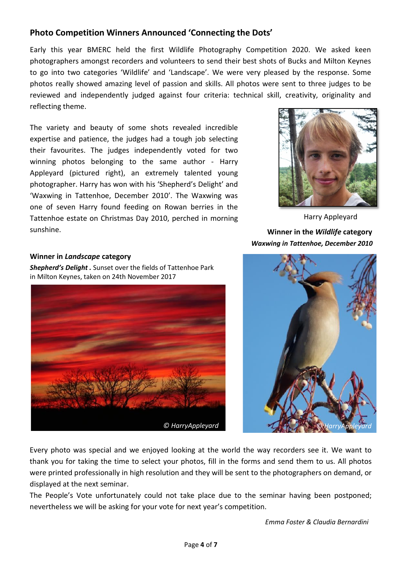# **Photo Competition Winners Announced 'Connecting the Dots'**

Early this year BMERC held the first Wildlife Photography Competition 2020. We asked keen photographers amongst recorders and volunteers to send their best shots of Bucks and Milton Keynes to go into two categories 'Wildlife' and 'Landscape'. We were very pleased by the response. Some photos really showed amazing level of passion and skills. All photos were sent to three judges to be reviewed and independently judged against four criteria: technical skill, creativity, originality and reflecting theme.

The variety and beauty of some shots revealed incredible expertise and patience, the judges had a tough job selecting their favourites. The judges independently voted for two winning photos belonging to the same author - Harry Appleyard (pictured right), an extremely talented young photographer. Harry has won with his 'Shepherd's Delight' and 'Waxwing in Tattenhoe, December 2010'. The Waxwing was one of seven Harry found feeding on Rowan berries in the Tattenhoe estate on Christmas Day 2010, perched in morning sunshine.



**Winner in the** *Wildlife* **category** *Waxwing in Tattenhoe, December 2010*  Harry Appleyard

### **Winner in** *Landscape* **category**

*Shepherd's Delight .* Sunset over the fields of Tattenhoe Park in Milton Keynes, taken on 24th November 2017





Every photo was special and we enjoyed looking at the world the way recorders see it. We want to thank you for taking the time to select your photos, fill in the forms and send them to us. All photos were printed professionally in high resolution and they will be sent to the photographers on demand, or displayed at the next seminar.

The People's Vote unfortunately could not take place due to the seminar having been postponed; nevertheless we will be asking for your vote for next year's competition.

*Emma Foster & Claudia Bernardini*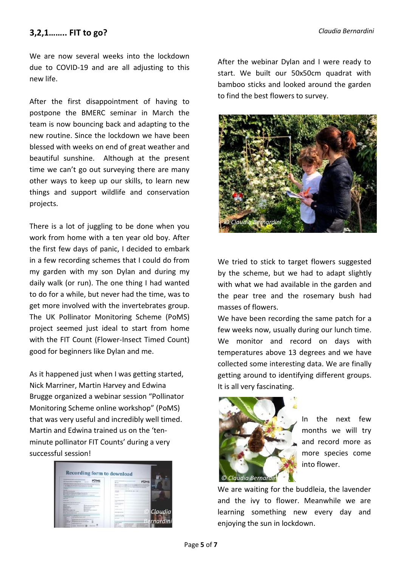### **3,2,1…….. FIT to go?**

We are now several weeks into the lockdown due to COVID-19 and are all adjusting to this new life.

After the first disappointment of having to postpone the BMERC seminar in March the team is now bouncing back and adapting to the new routine. Since the lockdown we have been blessed with weeks on end of great weather and beautiful sunshine. Although at the present time we can't go out surveying there are many other ways to keep up our skills, to learn new things and support wildlife and conservation projects.

There is a lot of juggling to be done when you work from home with a ten year old boy. After the first few days of panic, I decided to embark in a few recording schemes that I could do from my garden with my son Dylan and during my daily walk (or run). The one thing I had wanted to do for a while, but never had the time, was to get more involved with the invertebrates group. The UK Pollinator Monitoring Scheme (PoMS) project seemed just ideal to start from home with the FIT Count (Flower-Insect Timed Count) good for beginners like Dylan and me.

As it happened just when I was getting started, Nick Marriner, Martin Harvey and Edwina Brugge organized a webinar session "Pollinator Monitoring Scheme online workshop" (PoMS) that was very useful and incredibly well timed. Martin and Edwina trained us on the 'tenminute pollinator FIT Counts' during a very successful session!

| <b>These cases in the case of the company's and the company's the case of the company's product the company's and the company's articles of the company's product of the company's product of the company's product of the compa</b>                                |                   |                                                 |                   |
|---------------------------------------------------------------------------------------------------------------------------------------------------------------------------------------------------------------------------------------------------------------------|-------------------|-------------------------------------------------|-------------------|
| and handled charge younger starting and built dealers as well. A<br>2. Drive and the lot for further experimental in case is an<br>In the case or service come dealer and a control of                                                                              |                   | the car clay force city dependent and a         | -                 |
| --                                                                                                                                                                                                                                                                  |                   |                                                 |                   |
| -<br><b><i><u>District Contract Contract Contract Contract Contract Contract Contract Contract Contract Contract Contract Contract Contract Contract Contract Contract Contract Contract Contract Contract Contract Contract Contract Con</u></i></b>               |                   | <b>The Service</b><br><b>Britishers art 114</b> |                   |
| <b>SAN AND AND ARRANGEMENT COMPANY</b><br>The best company's the party and continued<br>The process completely to control the<br><b>CONTRACTOR CONTRACTOR</b>                                                                                                       |                   |                                                 |                   |
| <b>CAR ASSAULT AND</b>                                                                                                                                                                                                                                              |                   |                                                 |                   |
| --                                                                                                                                                                                                                                                                  |                   |                                                 |                   |
| --<br><b>Beneficial According to the Con-</b>                                                                                                                                                                                                                       |                   |                                                 |                   |
| <b>BERTH BANK AND ART AND ART AND ART AND A</b><br>-                                                                                                                                                                                                                |                   |                                                 |                   |
| <b>Services</b><br><b><i><u>Pressure and Contract Contract Contract Contract Contract Contract Contract Contract Contract Contract Contract Contract Contract Contract Contract Contract Contract Contract Contract Contract Contract Contract Contract</u></i></b> | <b>STATISTICS</b> |                                                 |                   |
|                                                                                                                                                                                                                                                                     |                   |                                                 |                   |
| _______<br><b>REPORT OF ASSAULTS</b>                                                                                                                                                                                                                                |                   |                                                 | O                 |
|                                                                                                                                                                                                                                                                     |                   |                                                 |                   |
| Chapter the Control of the                                                                                                                                                                                                                                          |                   |                                                 | Claudia           |
| Man capacitan Care in Care                                                                                                                                                                                                                                          |                   | -----<br><b>STATISTICS</b>                      |                   |
| <b>Bingman car la linguista</b><br><b>Brightfield and Services</b><br><b>CARD CARD IN CASE OF ANY</b>                                                                                                                                                               |                   |                                                 | <b>Bernardini</b> |

After the webinar Dylan and I were ready to start. We built our 50x50cm quadrat with bamboo sticks and looked around the garden to find the best flowers to survey.



We tried to stick to target flowers suggested by the scheme, but we had to adapt slightly with what we had available in the garden and the pear tree and the rosemary bush had masses of flowers.

We have been recording the same patch for a few weeks now, usually during our lunch time. We monitor and record on days with temperatures above 13 degrees and we have collected some interesting data. We are finally getting around to identifying different groups. It is all very fascinating.



In the next few months we will try and record more as more species come into flower.

We are waiting for the buddleia, the lavender and the ivy to flower. Meanwhile we are learning something new every day and enjoying the sun in lockdown.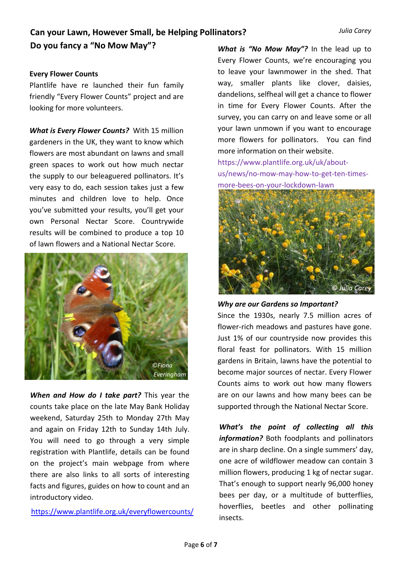# **Can your Lawn, However Small, be Helping Pollinators? Do you fancy a "No Mow May"?**

#### **Every Flower Counts**

Plantlife have re launched their fun family friendly "Every Flower Counts" project and are looking for more volunteers.

*What is Every Flower Counts?* With 15 million gardeners in the UK, they want to know which flowers are most abundant on lawns and small green spaces to work out how much nectar the supply to our beleaguered pollinators. It's very easy to do, each session takes just a few minutes and children love to help. Once you've submitted your results, you'll get your own Personal Nectar Score. Countrywide results will be combined to produce a top 10 of lawn flowers and a National Nectar Score.



*When and How do I take part?* This year the counts take place on the late May Bank Holiday weekend, Saturday 25th to Monday 27th May and again on Friday 12th to Sunday 14th July. You will need to go through a very simple registration with Plantlife, details can be found on the project's main webpage from where there are also links to all sorts of interesting facts and figures, guides on how to count and an introductory video.

<https://www.plantlife.org.uk/everyflowercounts/>

*What is "No Mow May"?* In the lead up to Every Flower Counts, we're encouraging you to leave your lawnmower in the shed. That way, smaller plants like clover, daisies,

dandelions, selfheal will get a chance to flower in time for Every Flower Counts. After the survey, you can carry on and leave some or all your lawn unmown if you want to encourage more flowers for pollinators. You can find more information on their website.

https://www.plantlife.org.uk/uk/aboutus/news/no-mow-may-how-to-get-ten-timesmore-bees-on-your-lockdown-lawn



*Why are our Gardens so Important?*

Since the 1930s, nearly 7.5 million acres of flower-rich meadows and pastures have gone. Just 1% of our countryside now provides this floral feast for pollinators. With 15 million gardens in Britain, lawns have the potential to become major sources of nectar. Every Flower Counts aims to work out how many flowers are on our lawns and how many bees can be supported through the National Nectar Score.

*What's the point of collecting all this information?* Both foodplants and pollinators are in sharp decline. On a single summers' day, one acre of wildflower meadow can contain 3 million flowers, producing 1 kg of nectar sugar. That's enough to support nearly 96,000 honey bees per day, or a multitude of butterflies, hoverflies, beetles and other pollinating insects.